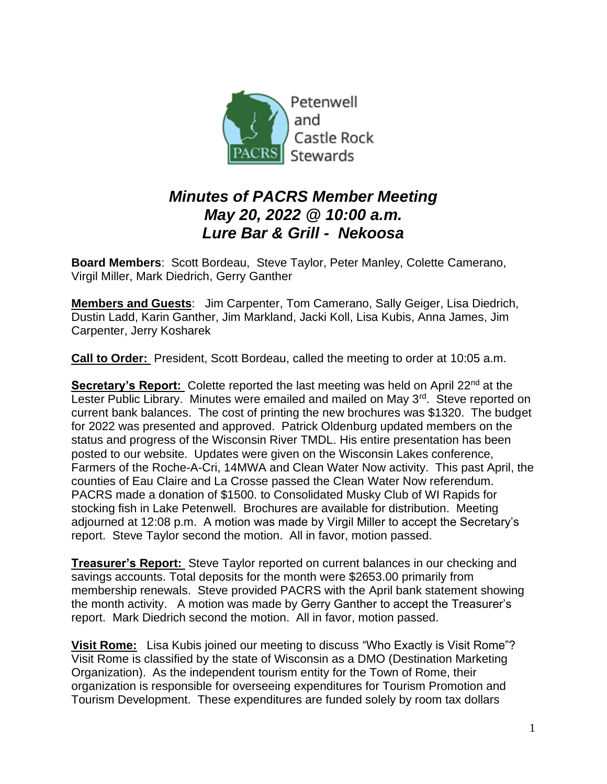

## *Minutes of PACRS Member Meeting May 20, 2022 @ 10:00 a.m. Lure Bar & Grill - Nekoosa*

**Board Members**: Scott Bordeau, Steve Taylor, Peter Manley, Colette Camerano, Virgil Miller, Mark Diedrich, Gerry Ganther

**Members and Guests**: Jim Carpenter, Tom Camerano, Sally Geiger, Lisa Diedrich, Dustin Ladd, Karin Ganther, Jim Markland, Jacki Koll, Lisa Kubis, Anna James, Jim Carpenter, Jerry Kosharek

**Call to Order:** President, Scott Bordeau, called the meeting to order at 10:05 a.m.

**Secretary's Report:** Colette reported the last meeting was held on April 22<sup>nd</sup> at the Lester Public Library. Minutes were emailed and mailed on May 3<sup>rd</sup>. Steve reported on current bank balances. The cost of printing the new brochures was \$1320. The budget for 2022 was presented and approved. Patrick Oldenburg updated members on the status and progress of the Wisconsin River TMDL. His entire presentation has been posted to our website. Updates were given on the Wisconsin Lakes conference, Farmers of the Roche-A-Cri, 14MWA and Clean Water Now activity. This past April, the counties of Eau Claire and La Crosse passed the Clean Water Now referendum. PACRS made a donation of \$1500. to Consolidated Musky Club of WI Rapids for stocking fish in Lake Petenwell. Brochures are available for distribution. Meeting adjourned at 12:08 p.m. A motion was made by Virgil Miller to accept the Secretary's report. Steve Taylor second the motion. All in favor, motion passed.

**Treasurer's Report:** Steve Taylor reported on current balances in our checking and savings accounts. Total deposits for the month were \$2653.00 primarily from membership renewals. Steve provided PACRS with the April bank statement showing the month activity. A motion was made by Gerry Ganther to accept the Treasurer's report. Mark Diedrich second the motion. All in favor, motion passed.

**Visit Rome:** Lisa Kubis joined our meeting to discuss "Who Exactly is Visit Rome"? Visit Rome is classified by the state of Wisconsin as a DMO (Destination Marketing Organization). As the independent tourism entity for the Town of Rome, their organization is responsible for overseeing expenditures for Tourism Promotion and Tourism Development. These expenditures are funded solely by room tax dollars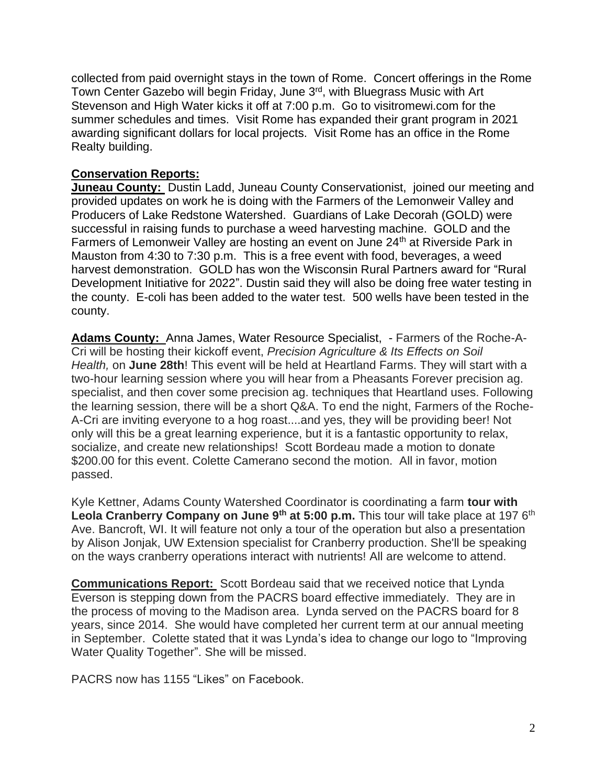collected from paid overnight stays in the town of Rome. Concert offerings in the Rome Town Center Gazebo will begin Friday, June 3<sup>rd</sup>, with Bluegrass Music with Art Stevenson and High Water kicks it off at 7:00 p.m. Go to visitromewi.com for the summer schedules and times. Visit Rome has expanded their grant program in 2021 awarding significant dollars for local projects. Visit Rome has an office in the Rome Realty building.

## **Conservation Reports:**

**Juneau County:** Dustin Ladd, Juneau County Conservationist, joined our meeting and provided updates on work he is doing with the Farmers of the Lemonweir Valley and Producers of Lake Redstone Watershed. Guardians of Lake Decorah (GOLD) were successful in raising funds to purchase a weed harvesting machine. GOLD and the Farmers of Lemonweir Valley are hosting an event on June 24<sup>th</sup> at Riverside Park in Mauston from 4:30 to 7:30 p.m. This is a free event with food, beverages, a weed harvest demonstration. GOLD has won the Wisconsin Rural Partners award for "Rural Development Initiative for 2022". Dustin said they will also be doing free water testing in the county. E-coli has been added to the water test. 500 wells have been tested in the county.

**Adams County:** Anna James, Water Resource Specialist, - Farmers of the Roche-A-Cri will be hosting their kickoff event, *Precision Agriculture & Its Effects on Soil Health,* on **June 28th**! This event will be held at Heartland Farms. They will start with a two-hour learning session where you will hear from a Pheasants Forever precision ag. specialist, and then cover some precision ag. techniques that Heartland uses. Following the learning session, there will be a short Q&A. To end the night, Farmers of the Roche-A-Cri are inviting everyone to a hog roast....and yes, they will be providing beer! Not only will this be a great learning experience, but it is a fantastic opportunity to relax, socialize, and create new relationships! Scott Bordeau made a motion to donate \$200.00 for this event. Colette Camerano second the motion. All in favor, motion passed.

Kyle Kettner, Adams County Watershed Coordinator is coordinating a farm **tour with Leola Cranberry Company on June 9<sup>th</sup> at 5:00 p.m.** This tour will take place at 197 6<sup>th</sup> Ave. Bancroft, WI. It will feature not only a tour of the operation but also a presentation by Alison Jonjak, UW Extension specialist for Cranberry production. She'll be speaking on the ways cranberry operations interact with nutrients! All are welcome to attend.

**Communications Report:** Scott Bordeau said that we received notice that Lynda Everson is stepping down from the PACRS board effective immediately. They are in the process of moving to the Madison area. Lynda served on the PACRS board for 8 years, since 2014. She would have completed her current term at our annual meeting in September. Colette stated that it was Lynda's idea to change our logo to "Improving Water Quality Together". She will be missed.

PACRS now has 1155 "Likes" on Facebook.